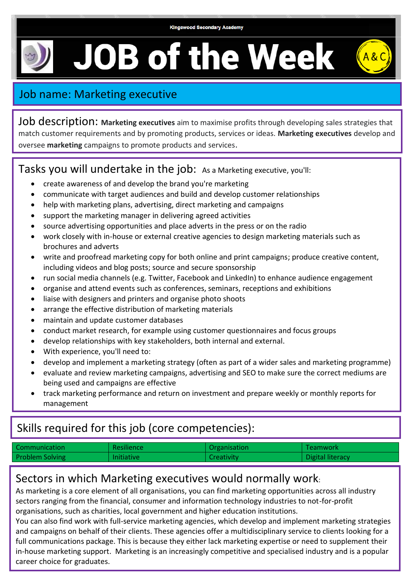**JOB of the Week** 



## Job name: Marketing executive

Job description: **Marketing executives** aim to maximise profits through developing sales strategies that match customer requirements and by promoting products, services or ideas. **Marketing executives** develop and oversee **marketing** campaigns to promote products and services.

#### Tasks you will undertake in the job: As a Marketing executive, you'll:

- create awareness of and develop the brand you're marketing
- communicate with target audiences and build and develop customer relationships
- help with marketing plans, advertising, direct marketing and campaigns
- support the marketing manager in delivering agreed activities
- source advertising opportunities and place adverts in the press or on the radio
- work closely with in-house or external creative agencies to design marketing materials such as brochures and adverts
- write and proofread marketing copy for both online and print campaigns; produce creative content, including videos and blog posts; source and secure sponsorship
- run social media channels (e.g. Twitter, Facebook and LinkedIn) to enhance audience engagement
- organise and attend events such as conferences, seminars, receptions and exhibitions
- liaise with designers and printers and organise photo shoots
- arrange the effective distribution of marketing materials
- maintain and update customer databases
- conduct market research, for example using customer questionnaires and focus groups
- develop relationships with key stakeholders, both internal and external.
- With experience, you'll need to:
- develop and implement a marketing strategy (often as part of a wider sales and marketing programme)
- evaluate and review marketing campaigns, advertising and SEO to make sure the correct mediums are being used and campaigns are effective
- track marketing performance and return on investment and prepare weekly or monthly reports for management

# Skills required for this job (core competencies):

| Communication          | <b>Resilience</b> | Organisation | Teamwork         |
|------------------------|-------------------|--------------|------------------|
| <b>Problem Solving</b> | <b>Initiative</b> | Creativity   | Digital literacy |

## Sectors in which Marketing executives would normally work:

As marketing is a core element of all organisations, you can find marketing opportunities across all industry sectors ranging from the financial, consumer and information technology industries to not-for-profit organisations, such as charities, local government and higher education institutions.

You can also find work with full-service marketing agencies, which develop and implement marketing strategies and campaigns on behalf of their clients. These agencies offer a multidisciplinary service to clients looking for a full communications package. This is because they either lack marketing expertise or need to supplement their in-house marketing support. Marketing is an increasingly competitive and specialised industry and is a popular career choice for graduates.